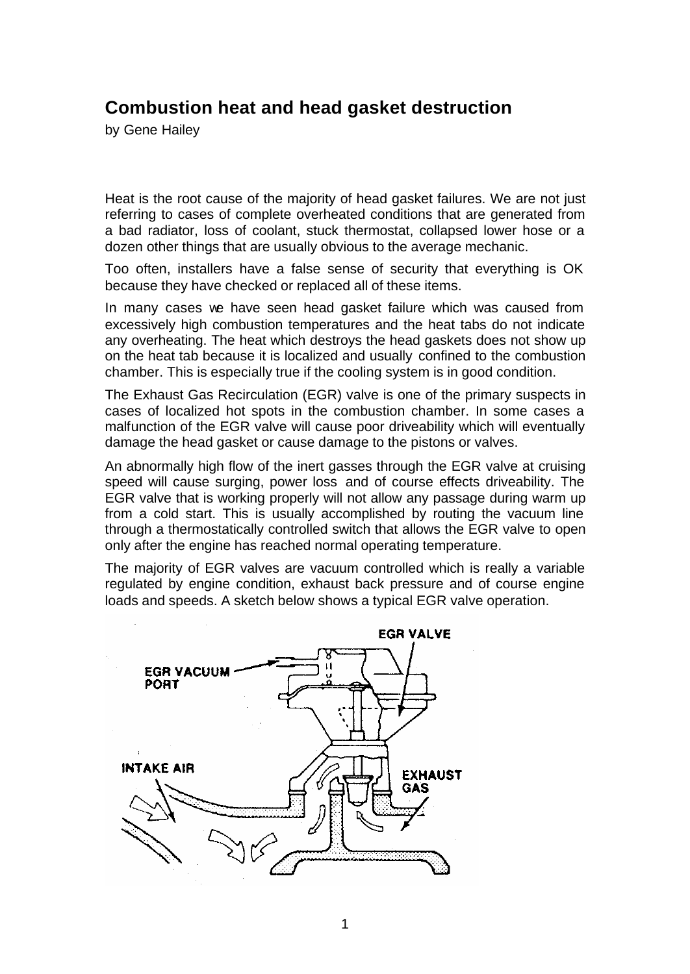## **Combustion heat and head gasket destruction**

by Gene Hailey

Heat is the root cause of the majority of head gasket failures. We are not just referring to cases of complete overheated conditions that are generated from a bad radiator, loss of coolant, stuck thermostat, collapsed lower hose or a dozen other things that are usually obvious to the average mechanic.

Too often, installers have a false sense of security that everything is OK because they have checked or replaced all of these items.

In many cases we have seen head gasket failure which was caused from excessively high combustion temperatures and the heat tabs do not indicate any overheating. The heat which destroys the head gaskets does not show up on the heat tab because it is localized and usually confined to the combustion chamber. This is especially true if the cooling system is in good condition.

The Exhaust Gas Recirculation (EGR) valve is one of the primary suspects in cases of localized hot spots in the combustion chamber. In some cases a malfunction of the EGR valve will cause poor driveability which will eventually damage the head gasket or cause damage to the pistons or valves.

An abnormally high flow of the inert gasses through the EGR valve at cruising speed will cause surging, power loss and of course effects driveability. The EGR valve that is working properly will not allow any passage during warm up from a cold start. This is usually accomplished by routing the vacuum line through a thermostatically controlled switch that allows the EGR valve to open only after the engine has reached normal operating temperature.

The majority of EGR valves are vacuum controlled which is really a variable regulated by engine condition, exhaust back pressure and of course engine loads and speeds. A sketch below shows a typical EGR valve operation.

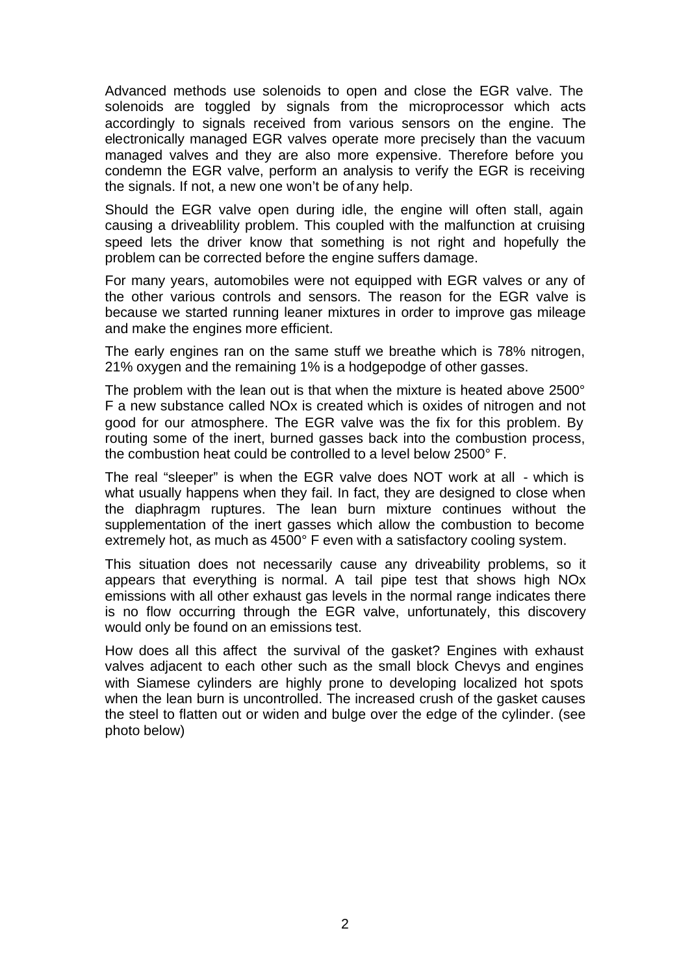Advanced methods use solenoids to open and close the EGR valve. The solenoids are toggled by signals from the microprocessor which acts accordingly to signals received from various sensors on the engine. The electronically managed EGR valves operate more precisely than the vacuum managed valves and they are also more expensive. Therefore before you condemn the EGR valve, perform an analysis to verify the EGR is receiving the signals. If not, a new one won't be of any help.

Should the EGR valve open during idle, the engine will often stall, again causing a driveablility problem. This coupled with the malfunction at cruising speed lets the driver know that something is not right and hopefully the problem can be corrected before the engine suffers damage.

For many years, automobiles were not equipped with EGR valves or any of the other various controls and sensors. The reason for the EGR valve is because we started running leaner mixtures in order to improve gas mileage and make the engines more efficient.

The early engines ran on the same stuff we breathe which is 78% nitrogen, 21% oxygen and the remaining 1% is a hodgepodge of other gasses.

The problem with the lean out is that when the mixture is heated above 2500° F a new substance called NOx is created which is oxides of nitrogen and not good for our atmosphere. The EGR valve was the fix for this problem. By routing some of the inert, burned gasses back into the combustion process, the combustion heat could be controlled to a level below 2500° F.

The real "sleeper" is when the EGR valve does NOT work at all - which is what usually happens when they fail. In fact, they are designed to close when the diaphragm ruptures. The lean burn mixture continues without the supplementation of the inert gasses which allow the combustion to become extremely hot, as much as 4500° F even with a satisfactory cooling system.

This situation does not necessarily cause any driveability problems, so it appears that everything is normal. A tail pipe test that shows high NOx emissions with all other exhaust gas levels in the normal range indicates there is no flow occurring through the EGR valve, unfortunately, this discovery would only be found on an emissions test.

How does all this affect the survival of the gasket? Engines with exhaust valves adjacent to each other such as the small block Chevys and engines with Siamese cylinders are highly prone to developing localized hot spots when the lean burn is uncontrolled. The increased crush of the gasket causes the steel to flatten out or widen and bulge over the edge of the cylinder. (see photo below)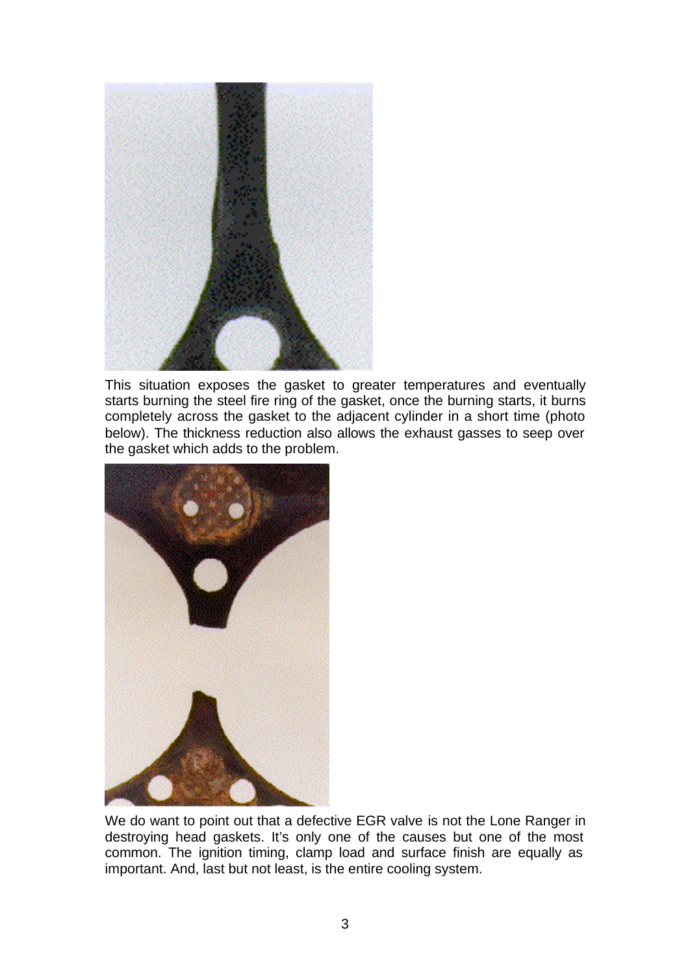

This situation exposes the gasket to greater temperatures and eventually starts burning the steel fire ring of the gasket, once the burning starts, it burns completely across the gasket to the adjacent cylinder in a short time (photo below). The thickness reduction also allows the exhaust gasses to seep over the gasket which adds to the problem.



We do want to point out that a defective EGR valve is not the Lone Ranger in destroying head gaskets. It's only one of the causes but one of the most common. The ignition timing, clamp load and surface finish are equally as important. And, last but not least, is the entire cooling system.